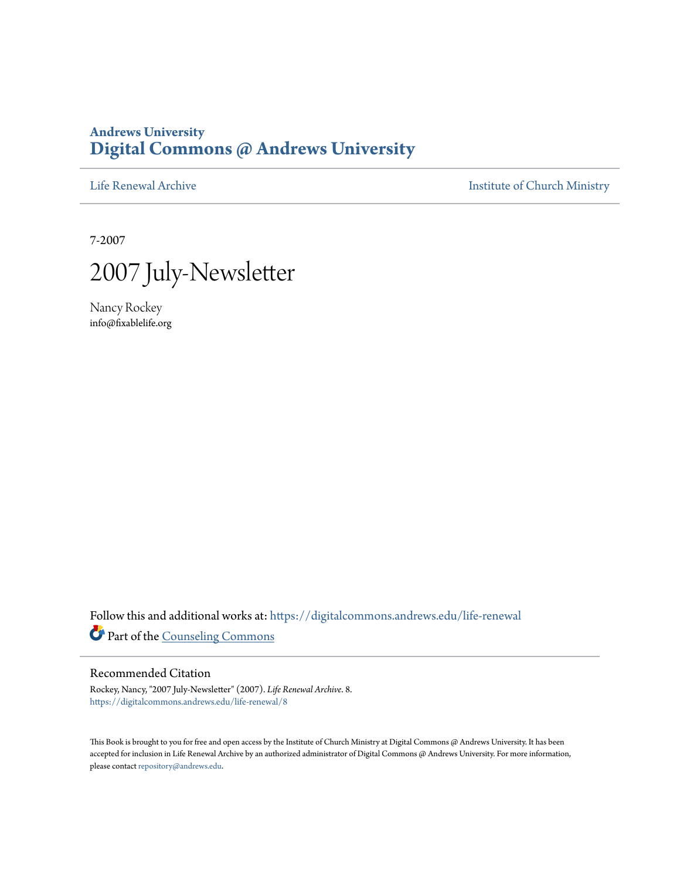## **Andrews University [Digital Commons @ Andrews University](https://digitalcommons.andrews.edu/?utm_source=digitalcommons.andrews.edu%2Flife-renewal%2F8&utm_medium=PDF&utm_campaign=PDFCoverPages)**

[Life Renewal Archive](https://digitalcommons.andrews.edu/life-renewal?utm_source=digitalcommons.andrews.edu%2Flife-renewal%2F8&utm_medium=PDF&utm_campaign=PDFCoverPages) **[Institute of Church Ministry](https://digitalcommons.andrews.edu/icm?utm_source=digitalcommons.andrews.edu%2Flife-renewal%2F8&utm_medium=PDF&utm_campaign=PDFCoverPages)** 

7-2007



Nancy Rockey info@fixablelife.org

Follow this and additional works at: [https://digitalcommons.andrews.edu/life-renewal](https://digitalcommons.andrews.edu/life-renewal?utm_source=digitalcommons.andrews.edu%2Flife-renewal%2F8&utm_medium=PDF&utm_campaign=PDFCoverPages) Part of the [Counseling Commons](http://network.bepress.com/hgg/discipline/1268?utm_source=digitalcommons.andrews.edu%2Flife-renewal%2F8&utm_medium=PDF&utm_campaign=PDFCoverPages)

### Recommended Citation

Rockey, Nancy, "2007 July-Newsletter" (2007). *Life Renewal Archive*. 8. [https://digitalcommons.andrews.edu/life-renewal/8](https://digitalcommons.andrews.edu/life-renewal/8?utm_source=digitalcommons.andrews.edu%2Flife-renewal%2F8&utm_medium=PDF&utm_campaign=PDFCoverPages)

This Book is brought to you for free and open access by the Institute of Church Ministry at Digital Commons @ Andrews University. It has been accepted for inclusion in Life Renewal Archive by an authorized administrator of Digital Commons @ Andrews University. For more information, please contact [repository@andrews.edu.](mailto:repository@andrews.edu)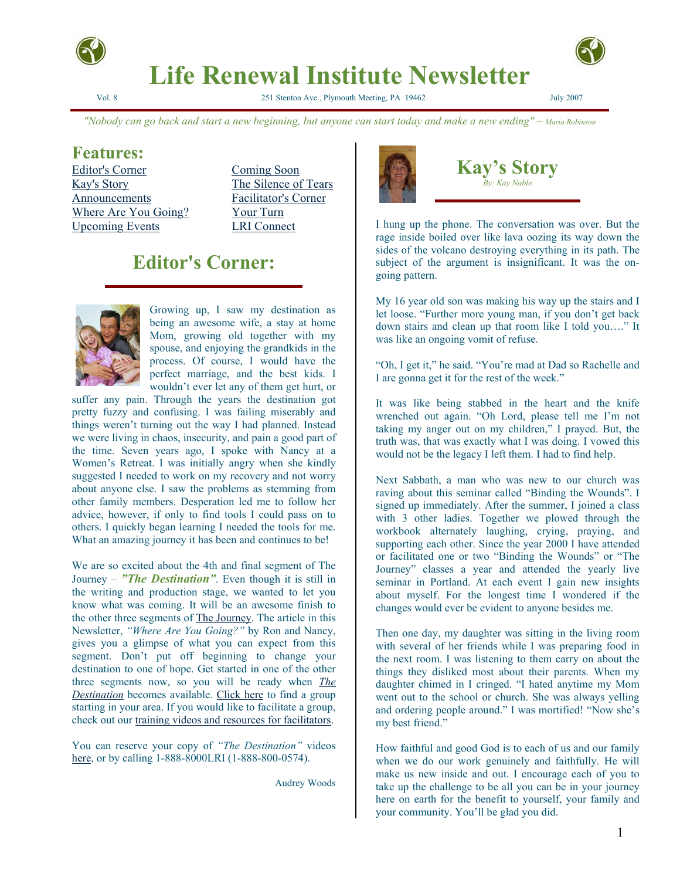

# **Life Renewal Institute Newsletter**

Vol. 8 251 Stenton Ave., Plymouth Meeting, PA 19462 July 2007

*"Nobody can go back and start a new beginning, but anyone can start today and make a new ending" – Maria Robinson*

## **Features:**

Editor's Corner Coming Soon Kay's Story The Silence of Tears Announcements Facilitator's Corner Where Are You Going? Your Turn Upcoming Events LRI Connect

# **Editor's Corner:**



Growing up, I saw my destination as being an awesome wife, a stay at home Mom, growing old together with my spouse, and enjoying the grandkids in the process. Of course, I would have the perfect marriage, and the best kids. I wouldn't ever let any of them get hurt, or

suffer any pain. Through the years the destination got pretty fuzzy and confusing. I was failing miserably and things weren't turning out the way I had planned. Instead we were living in chaos, insecurity, and pain a good part of the time. Seven years ago, I spoke with Nancy at a Women's Retreat. I was initially angry when she kindly suggested I needed to work on my recovery and not worry about anyone else. I saw the problems as stemming from other family members. Desperation led me to follow her advice, however, if only to find tools I could pass on to others. I quickly began learning I needed the tools for me. What an amazing journey it has been and continues to be!

We are so excited about the 4th and final segment of The Journey – *"The Destination"*. Even though it is still in the writing and production stage, we wanted to let you know what was coming. It will be an awesome finish to the other three segments of The Journey. The article in this Newsletter, *"Where Are You Going?"* by Ron and Nancy, gives you a glimpse of what you can expect from this segment. Don't put off beginning to change your destination to one of hope. Get started in one of the other three segments now, so you will be ready when *The Destination* becomes available. Click here to find a group starting in your area. If you would like to facilitate a group, check out our training videos and resources for facilitators.

You can reserve your copy of *"The Destination"* videos here, or by calling 1-888-8000LRI (1-888-800-0574).

Audrey Woods



**Kay's Story**  *By: Kay Noble* 

I hung up the phone. The conversation was over. But the rage inside boiled over like lava oozing its way down the sides of the volcano destroying everything in its path. The subject of the argument is insignificant. It was the ongoing pattern.

My 16 year old son was making his way up the stairs and I let loose. "Further more young man, if you don't get back down stairs and clean up that room like I told you…." It was like an ongoing vomit of refuse.

"Oh, I get it," he said. "You're mad at Dad so Rachelle and I are gonna get it for the rest of the week."

It was like being stabbed in the heart and the knife wrenched out again. "Oh Lord, please tell me I'm not taking my anger out on my children," I prayed. But, the truth was, that was exactly what I was doing. I vowed this would not be the legacy I left them. I had to find help.

Next Sabbath, a man who was new to our church was raving about this seminar called "Binding the Wounds". I signed up immediately. After the summer, I joined a class with 3 other ladies. Together we plowed through the workbook alternately laughing, crying, praying, and supporting each other. Since the year 2000 I have attended or facilitated one or two "Binding the Wounds" or "The Journey" classes a year and attended the yearly live seminar in Portland. At each event I gain new insights about myself. For the longest time I wondered if the changes would ever be evident to anyone besides me.

Then one day, my daughter was sitting in the living room with several of her friends while I was preparing food in the next room. I was listening to them carry on about the things they disliked most about their parents. When my daughter chimed in I cringed. "I hated anytime my Mom went out to the school or church. She was always yelling and ordering people around." I was mortified! "Now she's my best friend."

How faithful and good God is to each of us and our family when we do our work genuinely and faithfully. He will make us new inside and out. I encourage each of you to take up the challenge to be all you can be in your journey here on earth for the benefit to yourself, your family and your community. You'll be glad you did.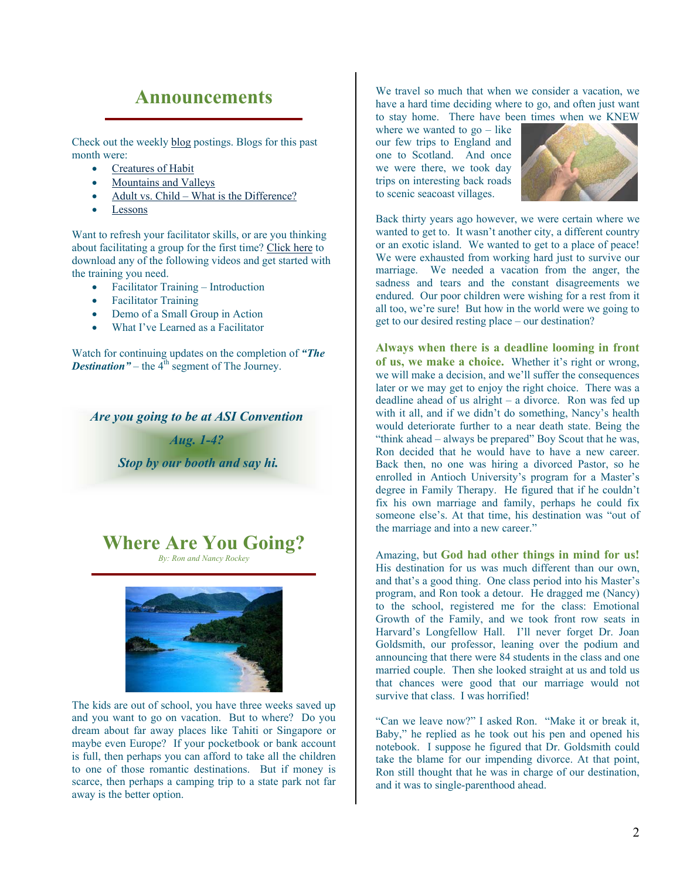## **Announcements**

Check out the weekly blog postings. Blogs for this past month were:

- Creatures of Habit
- Mountains and Valleys
- Adult vs. Child What is the Difference?
- **Lessons**

Want to refresh your facilitator skills, or are you thinking about facilitating a group for the first time? Click here to download any of the following videos and get started with the training you need.

- Facilitator Training Introduction
- Facilitator Training
- Demo of a Small Group in Action
- What I've Learned as a Facilitator

Watch for continuing updates on the completion of *"The Destination*  $"$  – the 4<sup>th</sup> segment of The Journey.

*Are you going to be at ASI Convention Aug. 1-4?* 

 *Stop by our booth and say hi.* 

**Where Are You Going?**

*By: Ron and Nancy Rockey*



The kids are out of school, you have three weeks saved up and you want to go on vacation. But to where? Do you dream about far away places like Tahiti or Singapore or maybe even Europe? If your pocketbook or bank account is full, then perhaps you can afford to take all the children to one of those romantic destinations. But if money is scarce, then perhaps a camping trip to a state park not far away is the better option.

We travel so much that when we consider a vacation, we have a hard time deciding where to go, and often just want to stay home. There have been times when we KNEW

where we wanted to  $go - like$ our few trips to England and one to Scotland. And once we were there, we took day trips on interesting back roads to scenic seacoast villages.



Back thirty years ago however, we were certain where we wanted to get to. It wasn't another city, a different country or an exotic island. We wanted to get to a place of peace! We were exhausted from working hard just to survive our marriage. We needed a vacation from the anger, the sadness and tears and the constant disagreements we endured. Our poor children were wishing for a rest from it all too, we're sure! But how in the world were we going to get to our desired resting place – our destination?

Always when there is a deadline looming in front **of us, we make a choice.** Whether it's right or wrong, we will make a decision, and we'll suffer the consequences later or we may get to enjoy the right choice. There was a deadline ahead of us alright – a divorce. Ron was fed up with it all, and if we didn't do something, Nancy's health would deteriorate further to a near death state. Being the "think ahead – always be prepared" Boy Scout that he was, Ron decided that he would have to have a new career. Back then, no one was hiring a divorced Pastor, so he enrolled in Antioch University's program for a Master's degree in Family Therapy. He figured that if he couldn't fix his own marriage and family, perhaps he could fix someone else's. At that time, his destination was "out of the marriage and into a new career."

mazing, but **God had other things in mind for us!** A His destination for us was much different than our own, and that's a good thing. One class period into his Master's program, and Ron took a detour. He dragged me (Nancy) to the school, registered me for the class: Emotional Growth of the Family, and we took front row seats in Harvard's Longfellow Hall. I'll never forget Dr. Joan Goldsmith, our professor, leaning over the podium and announcing that there were 84 students in the class and one married couple. Then she looked straight at us and told us that chances were good that our marriage would not survive that class. I was horrified!

"Can we leave now?" I asked Ron. "Make it or break it, Baby," he replied as he took out his pen and opened his notebook. I suppose he figured that Dr. Goldsmith could take the blame for our impending divorce. At that point, Ron still thought that he was in charge of our destination, and it was to single-parenthood ahead.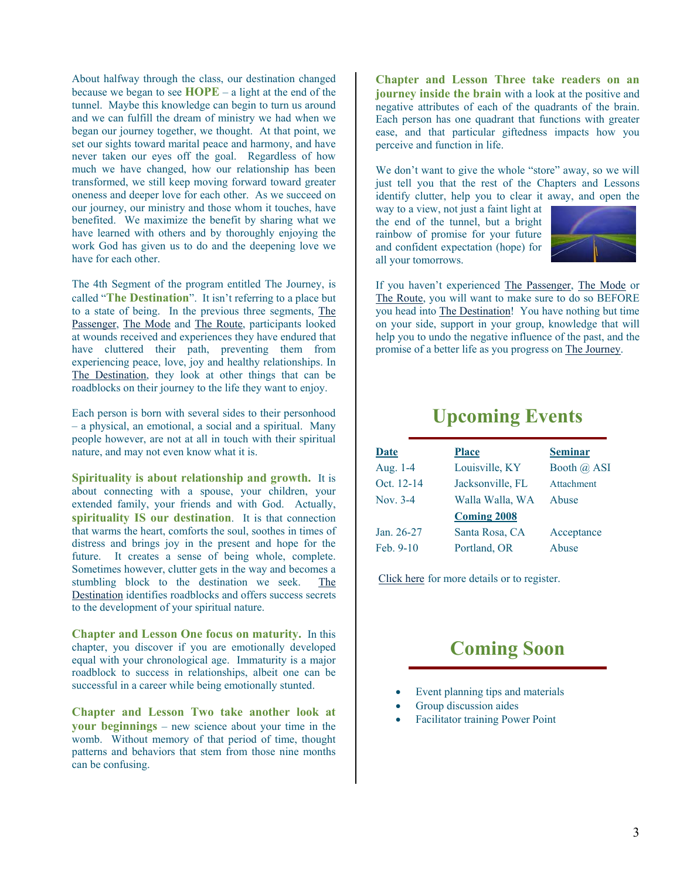About halfway through the class, our destination changed because we began to see **HOPE** – a light at the end of the tunnel. Maybe this knowledge can begin to turn us around and we can fulfill the dream of ministry we had when we began our journey together, we thought. At that point, we set our sights toward marital peace and harmony, and have never taken our eyes off the goal. Regardless of how much we have changed, how our relationship has been transformed, we still keep moving forward toward greater oneness and deeper love for each other. As we succeed on our journey, our ministry and those whom it touches, have benefited. We maximize the benefit by sharing what we have learned with others and by thoroughly enjoying the work God has given us to do and the deepening love we have for each other.

The 4th Segment of the program entitled The Journey, is called "**The Destination**". It isn't referring to a place but to a state of being. In the previous three segments, The Passenger, The Mode and The Route, participants looked at wounds received and experiences they have endured that have cluttered their path, preventing them from experiencing peace, love, joy and healthy relationships. In The Destination, they look at other things that can be roadblocks on their journey to the life they want to enjoy.

Each person is born with several sides to their personhood – a physical, an emotional, a social and a spiritual. Many people however, are not at all in touch with their spiritual nature, and may not even know what it is.

Spirituality is about relationship and growth. It is about connecting with a spouse, your children, your extended family, your friends and with God. Actually, **spirituality IS our destination**. It is that connection that warms the heart, comforts the soul, soothes in times of distress and brings joy in the present and hope for the future. It creates a sense of being whole, complete. Sometimes however, clutter gets in the way and becomes a stumbling block to the destination we seek. The Destination identifies roadblocks and offers success secrets to the development of your spiritual nature.

**Chapter and Lesson One focus on maturity.** In this chapter, you discover if you are emotionally developed equal with your chronological age. Immaturity is a major roadblock to success in relationships, albeit one can be successful in a career while being emotionally stunted.

Chapter and Lesson Two take another look at **your beginnings** – new science about your time in the womb. Without memory of that period of time, thought patterns and behaviors that stem from those nine months can be confusing.

**Chapter and Lesson Three take readers on an journey inside the brain** with a look at the positive and negative attributes of each of the quadrants of the brain. Each person has one quadrant that functions with greater ease, and that particular giftedness impacts how you perceive and function in life.

We don't want to give the whole "store" away, so we will just tell you that the rest of the Chapters and Lessons identify clutter, help you to clear it away, and open the

way to a view, not just a faint light at the end of the tunnel, but a bright rainbow of promise for your future and confident expectation (hope) for all your tomorrows.



If you haven't experienced The Passenger, The Mode or The Route, you will want to make sure to do so BEFORE you head into The Destination! You have nothing but time on your side, support in your group, knowledge that will help you to undo the negative influence of the past, and the promise of a better life as you progress on The Journey.

## **Upcoming Events**

| <b>Date</b> | <b>Place</b>       | <b>Seminar</b> |
|-------------|--------------------|----------------|
| Aug. 1-4    | Louisville, KY     | Booth @ ASI    |
| Oct. 12-14  | Jacksonville, FL   | Attachment     |
| Nov. 3-4    | Walla Walla, WA    | Abuse          |
|             | <b>Coming 2008</b> |                |
| Jan. 26-27  | Santa Rosa, CA     | Acceptance     |
| Feb. $9-10$ | Portland, OR       | Abuse          |

Click here for more details or to register.

# **Coming Soon**

- Event planning tips and materials
- Group discussion aides
- Facilitator training Power Point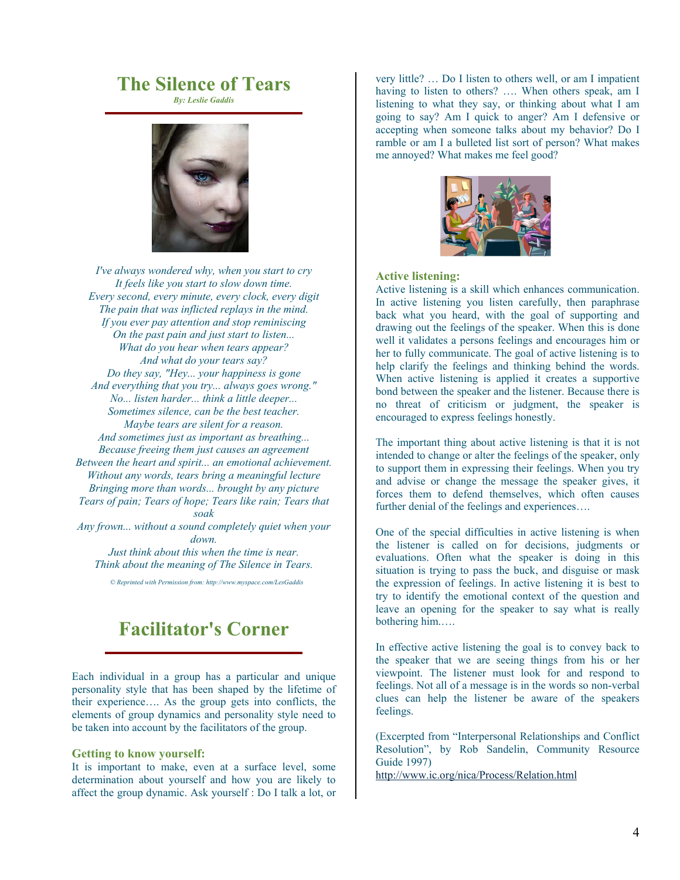# **The Silence of Tears**

*By: Leslie Gaddis* 



*I've always wondered why, when you start to cry It feels like you start to slow down time. Every second, every minute, every clock, every digit The pain that was inflicted replays in the mind. If you ever pay attention and stop reminiscing On the past pain and just start to listen... What do you hear when tears appear? And what do your tears say? Do they say, "Hey... your happiness is gone And everything that you try... always goes wrong." No... listen harder... think a little deeper... Sometimes silence, can be the best teacher. Maybe tears are silent for a reason. And sometimes just as important as breathing... Because freeing them just causes an agreement Between the heart and spirit... an emotional achievement. Without any words, tears bring a meaningful lecture Bringing more than words... brought by any picture Tears of pain; Tears of hope; Tears like rain; Tears that soak Any frown... without a sound completely quiet when your down.* 

*Just think about this when the time is near. Think about the meaning of The Silence in Tears.* 

*© Reprinted with Permission from: http://www.myspace.com/LesGaddis* 

# **Facilitator's Corner**

Each individual in a group has a particular and unique personality style that has been shaped by the lifetime of their experience…. As the group gets into conflicts, the elements of group dynamics and personality style need to be taken into account by the facilitators of the group.

#### **Getting to know yourself:**

It is important to make, even at a surface level, some determination about yourself and how you are likely to affect the group dynamic. Ask yourself : Do I talk a lot, or very little? … Do I listen to others well, or am I impatient having to listen to others? .... When others speak, am I listening to what they say, or thinking about what I am going to say? Am I quick to anger? Am I defensive or accepting when someone talks about my behavior? Do I ramble or am I a bulleted list sort of person? What makes me annoyed? What makes me feel good?



#### **Active listening:**

Active listening is a skill which enhances communication. In active listening you listen carefully, then paraphrase back what you heard, with the goal of supporting and drawing out the feelings of the speaker. When this is done well it validates a persons feelings and encourages him or her to fully communicate. The goal of active listening is to help clarify the feelings and thinking behind the words. When active listening is applied it creates a supportive bond between the speaker and the listener. Because there is no threat of criticism or judgment, the speaker is encouraged to express feelings honestly.

The important thing about active listening is that it is not intended to change or alter the feelings of the speaker, only to support them in expressing their feelings. When you try and advise or change the message the speaker gives, it forces them to defend themselves, which often causes further denial of the feelings and experiences….

One of the special difficulties in active listening is when the listener is called on for decisions, judgments or evaluations. Often what the speaker is doing in this situation is trying to pass the buck, and disguise or mask the expression of feelings. In active listening it is best to try to identify the emotional context of the question and leave an opening for the speaker to say what is really bothering him.….

In effective active listening the goal is to convey back to the speaker that we are seeing things from his or her viewpoint. The listener must look for and respond to feelings. Not all of a message is in the words so non-verbal clues can help the listener be aware of the speakers feelings.

(Excerpted from "Interpersonal Relationships and Conflict Resolution", by Rob Sandelin, Community Resource Guide 1997)

http://www.ic.org/nica/Process/Relation.html